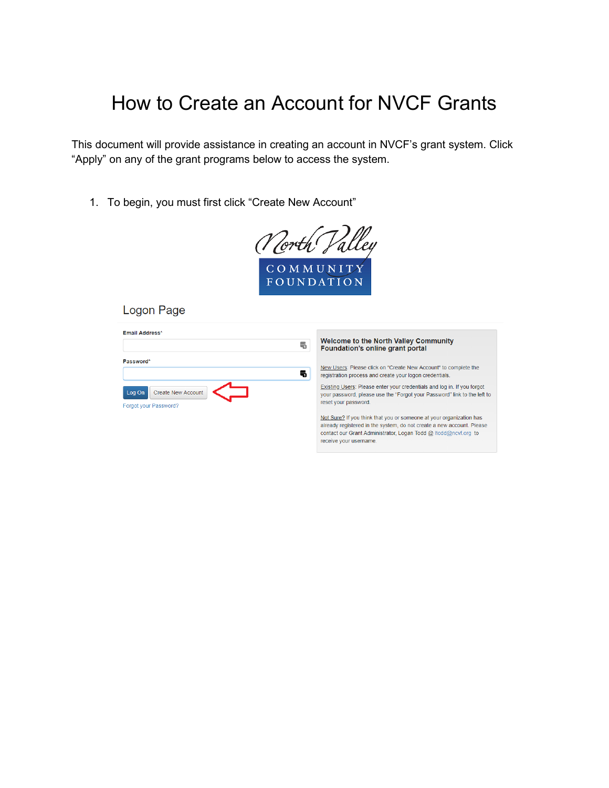## How to Create an Account for NVCF Grants

This document will provide assistance in creating an account in NVCF's grant system. Click "Apply" on any of the grant programs below to access the system.

1. To begin, you must first click "Create New Account"



Logon Page

| Email Address*               |   |                                                                                                                                                     |
|------------------------------|---|-----------------------------------------------------------------------------------------------------------------------------------------------------|
|                              | 冊 | <b>Welcome to the North Valley Community</b><br>Foundation's online grant portal                                                                    |
| Password*                    |   |                                                                                                                                                     |
|                              | 곡 | New Users: Please click on "Create New Account" to complete the<br>registration process and create your logon credentials.                          |
| Create New Account<br>Log On |   | Existing Users: Please enter your credentials and log in. If you forgot<br>your password, please use the "Forgot your Password" link to the left to |
| Forgot your Password?        |   | reset your password.                                                                                                                                |
|                              |   | Not Sure? If you think that you or someone at your organization has                                                                                 |
|                              |   | already registered in the system, do not create a new account. Please                                                                               |
|                              |   | contact our Grant Administrator. Logan Todd @ Itodd@ncyf.org to                                                                                     |

receive your username.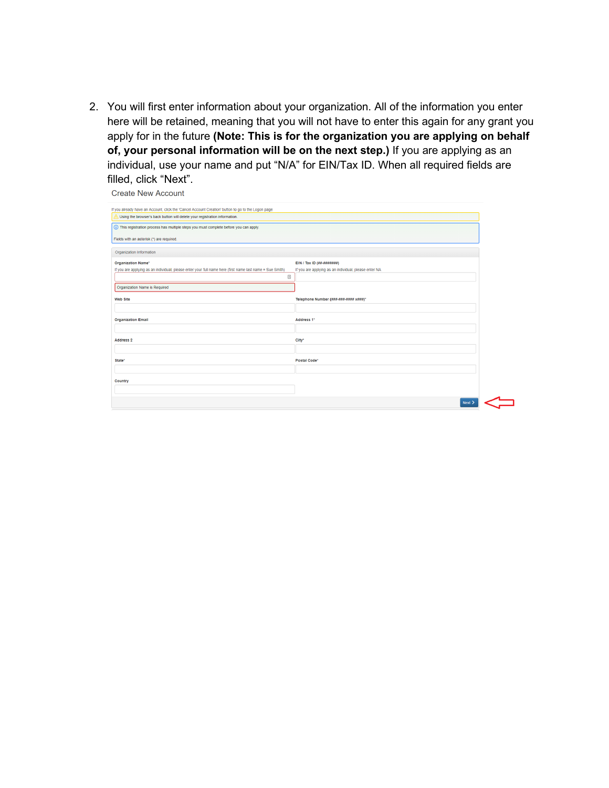2. You will first enter information about your organization. All of the information you enter here will be retained, meaning that you will not have to enter this again for any grant you apply for in the future **(Note: This is for the organization you are applying on behalf of, your personal information will be on the next step.)** If you are applying as an individual, use your name and put "N/A" for EIN/Tax ID. When all required fields are filled, click "Next".

**Create New Account** 

| If you already have an Account, click the 'Cancel Account Creation' button to go to the Logon page        |                                                       |
|-----------------------------------------------------------------------------------------------------------|-------------------------------------------------------|
| Using the browser's back button will delete your registration information.                                |                                                       |
| (i) This registration process has multiple steps you must complete before you can apply.                  |                                                       |
| Fields with an asterisk (*) are required.                                                                 |                                                       |
| Organization Information                                                                                  |                                                       |
| <b>Organization Name*</b>                                                                                 | EIN / Tax ID (##-#######)                             |
| If you are applying as an individual, please enter your full name here (first name last name = Sue Smith) | If you are applying as an individual, please enter NA |
| $\triangleq$                                                                                              |                                                       |
| Organization Name is Required                                                                             |                                                       |
| <b>Web Site</b>                                                                                           | Telephone Number (###-###-#### x###)*                 |
|                                                                                                           |                                                       |
| <b>Organization Email</b>                                                                                 | Address 1*                                            |
|                                                                                                           |                                                       |
| <b>Address 2</b>                                                                                          | City*                                                 |
|                                                                                                           |                                                       |
| State*                                                                                                    | Postal Code*                                          |
|                                                                                                           |                                                       |
| Country                                                                                                   |                                                       |
|                                                                                                           |                                                       |
|                                                                                                           | Next :                                                |
|                                                                                                           |                                                       |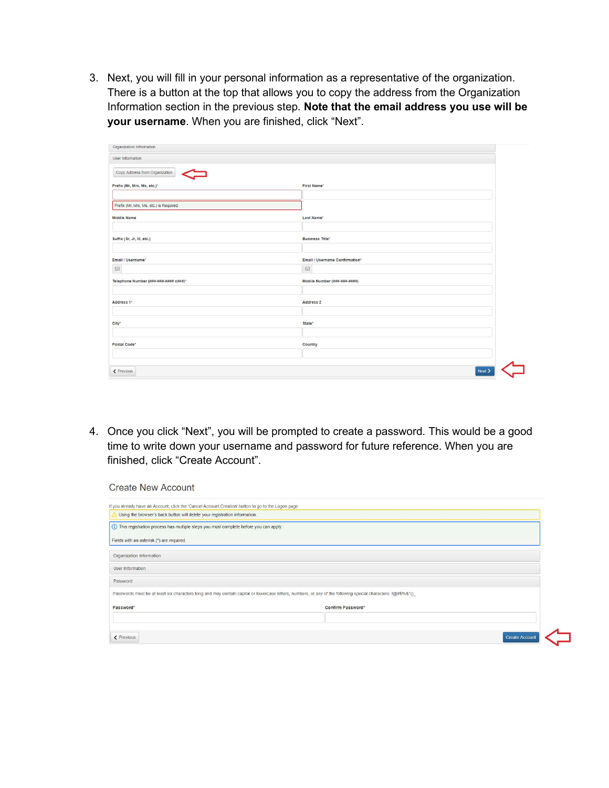3. Next, you will fill in your personal information as a representative of the organization. There is a button at the top that allows you to copy the address from the Organization Information section in the previous step. **Note that the email address you use will be your username**. When you are finished, click "Next".

| Organization Information               |                                |  |
|----------------------------------------|--------------------------------|--|
| User Information                       |                                |  |
| Copy Address from Organization         |                                |  |
| Prefix (Mr, Mrs, Ms, etc.)*            | First Name*                    |  |
|                                        |                                |  |
| Prefix (Mr, Mrs, Ms, etc.) is Required |                                |  |
| <b>Middle Name</b>                     | Last Name*                     |  |
|                                        |                                |  |
| Suffix (Sr, Jr, III, etc.)             | <b>Business Title*</b>         |  |
|                                        |                                |  |
| Email / Username*                      | Email / Username Confirmation* |  |
| $\quad \  \  \, \boxdot$               | $\boxtimes$                    |  |
| Telephone Number (###-###-#### x###)*  | Mobile Number (###-###-####)   |  |
|                                        |                                |  |
| Address 1*                             | Address 2                      |  |
|                                        |                                |  |
| City*                                  | State <sup>*</sup>             |  |
|                                        |                                |  |
| Postal Code*                           | Country                        |  |
|                                        |                                |  |
|                                        |                                |  |
| < Previous                             | Next                           |  |

4. Once you click "Next", you will be prompted to create a password. This would be a good time to write down your username and password for future reference. When you are finished, click "Create Account".

| <b>Create New Account</b>                                                                                                                                     |                   |                      |
|---------------------------------------------------------------------------------------------------------------------------------------------------------------|-------------------|----------------------|
| If you already have an Account, click the 'Cancel Account Creation' button to go to the Logon page                                                            |                   |                      |
| Using the browser's back button will delete your registration information.                                                                                    |                   |                      |
| (i) This registration process has multiple steps you must complete before you can apply.                                                                      |                   |                      |
| Fields with an asterisk (*) are required.                                                                                                                     |                   |                      |
| Organization Information                                                                                                                                      |                   |                      |
| User Information                                                                                                                                              |                   |                      |
| Password                                                                                                                                                      |                   |                      |
| Passwords must be at least six characters long and may contain capital or lowercase letters, numbers, or any of the following special characters: !@#\$%&*()_ |                   |                      |
| Password*                                                                                                                                                     | Confirm Password* |                      |
|                                                                                                                                                               |                   |                      |
| < Previous                                                                                                                                                    |                   | <b>Create Accoun</b> |